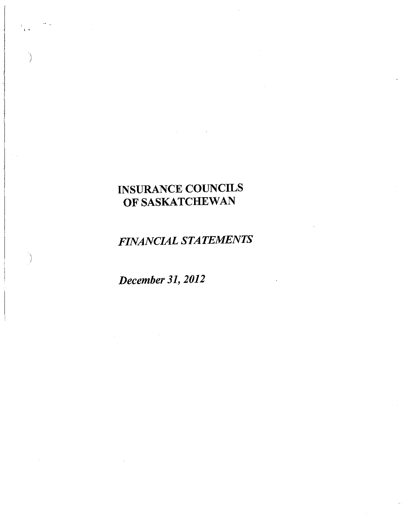*FINANCIAL STATEMENTS* 

*December* 31, *2012* 

, .

)

 $\big)$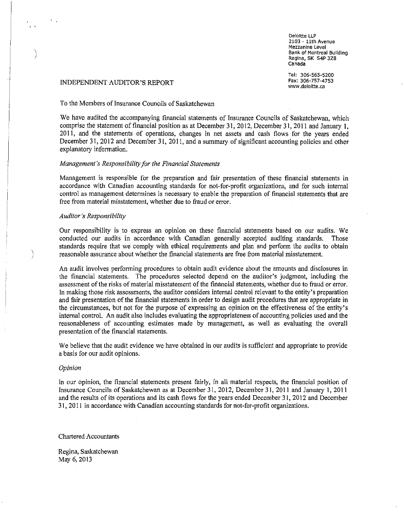**Deloltte LLP 2103 - 11th Avenue Mezzanine Level Bank of Montreal Building**  Regina, SK S4P 3Z8 **Canada** 

Tel: 306-565-5200 Fax: 306-757-4753 **www.deloitte.ca** 

#### INDEPENDENT AUDITOR'S REPORT

 $\left( \begin{array}{c} 1 \\ 1 \end{array} \right)$ 

 $\big)$ 

: )

#### To the Members of Insurance Councils of Saskatchewan

We have audited the accompanying financial statements of Insurance Councils of Saskatchewan, which comprise the statement of financial position as at December 31,2012, December 31,2011 and January I, 20 II, and the statements of operations, changes in net assets and cash flows for the years ended December 31, 2012 and December 31, 2011, and a summary of significant accounting policies and other explanatory information.

## *Management's Responsibility for the Financial Statements*

Management is responsible for the preparation and fair presentation of these financial statements in accordance with Canadian accounting standards for not-for-profit organizations, and for such internal control as management determines is necessary to enable the preparation of financial statements that are free from material misstatement, whether due to fraud or error.

#### *Auditor's Responsibiltty*

Our responsibility is to express an opinion on these financial statements based on our audits. We conducted our audits in accordance with Canadian generally accepted auditing standards. Those standards require that we comply with ethical requirements and plan and perform the audits to obtain reasonable assurance about whether the financial statements are free from material misstatement.

An audit involves performing procedures to obtain audit evidence about the amounts and disclosures in the financial statements. The procedures selected depend on the auditor's judgment, including the assessment of the risks of material misstatement of the financial statements, whether due to fraud or error. In making those risk assessments, the auditor considers internal control relevant to the entity's preparation and fair presentation of the financial statements in order to design audit procedures that are appropriate in the circumstances, but not for the purpose of expressing an opinion on the effectiveness of the entity's internal control. An audit also includes evaluating the appropriateness of accounting policies used and the reasonableness of accounting estimates made by management, as well as evaluating the overall presentation of the financial statements.

We believe that the audit evidence we have obtained in our audits is sufficient and appropriate to provide a basis for our audit opinions.

#### *Opinion*

In our opinion, the financial statements present fairly, in all material respects, the financial position of Insurance Councils of Saskatchewan as at December 31, 2012, December 31, 2011 and January 1, 2011 and the results of its operations and its cash flows for the years ended December 31, 2012 and December 31,2011 in accordance with Canadian accounting standards for not-for-profit organizations.

Chartered Accountants

Regina, Saskatchewan May 6, 2013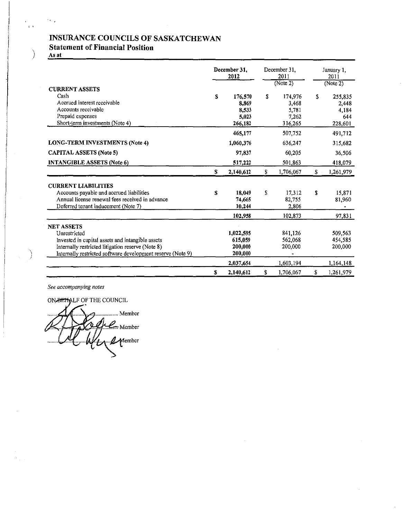## Statement of Financial Position

As at

 $\sim$   $\mu$ 

 $\epsilon$ 

 $\bar{\phantom{a}}$ 

 $\big)$ 

|                                                                                                                                                                                                           |    | December 31.<br>2012                          |    | December 31.<br>2011<br>(Note 2)              |         | January 1,<br>2011                          |
|-----------------------------------------------------------------------------------------------------------------------------------------------------------------------------------------------------------|----|-----------------------------------------------|----|-----------------------------------------------|---------|---------------------------------------------|
| <b>CURRENT ASSETS</b>                                                                                                                                                                                     |    |                                               |    |                                               |         | (Note 2)                                    |
| Cash<br>Accrued interest receivable<br>Accounts receivable<br>Prepaid expenses<br>Short-term investments (Note 4)                                                                                         | S  | 176,570<br>8.869<br>8.533<br>5,023<br>266,182 | \$ | 174,976<br>3,468<br>5,781<br>7,262<br>316,265 | \$      | 255,835<br>2,448<br>4,184<br>644<br>228,601 |
|                                                                                                                                                                                                           |    | 465,177                                       |    | 507,752                                       |         | 491,712                                     |
| <b>LONG-TERM INVESTMENTS (Note 4)</b>                                                                                                                                                                     |    | 1,060,376                                     |    | 636,247                                       |         | 315,682                                     |
| <b>CAPITAL ASSETS (Note 5)</b>                                                                                                                                                                            |    | 97,837                                        |    | 60,205                                        |         | 36,506                                      |
| <b>INTANGIBLE ASSETS (Note 6)</b>                                                                                                                                                                         |    | 517,222                                       |    | 501,863                                       |         | 418,079                                     |
|                                                                                                                                                                                                           | S  | 2,140,612                                     | S. | 1,706,067                                     | $S_{-}$ | 1,261,979                                   |
| <b>CURRENT LIABILITIES</b>                                                                                                                                                                                |    |                                               |    |                                               |         |                                             |
| Accounts payable and accrued liabilities<br>Annual license renewal fees received in advance<br>Deferred tenant inducement (Note 7)                                                                        | S  | 18,049<br>74,665<br>10.244                    | Ŝ  | 17,312<br>82,755<br>2,806                     | \$      | 15,871<br>81,960                            |
|                                                                                                                                                                                                           |    | 102,958                                       |    | 102,873                                       |         | 97,831                                      |
| <b>NET ASSETS</b><br>Unrestricted<br>Invested in capital assets and intangible assets<br>Internally restricted litigation reserve (Note 8)<br>Internally restricted software development reserve (Note 9) |    | 1,022,595<br>615,059<br>200,000<br>200,000    |    | 841,126<br>562,068<br>200,000                 |         | 509,563<br>454,585<br>200,000               |
|                                                                                                                                                                                                           |    | 2,037,654                                     |    | 1,603,194                                     |         | 1,164,148                                   |
|                                                                                                                                                                                                           | \$ | 2,140,612                                     | \$ | 1.706,067                                     | \$      | 1,261,979                                   |

 $\bar{z}$ 

*See accompanying notes* 

ON BETALF OF THE COUNCIL

**3................** Member Je Member  $\mathcal{L}$  Member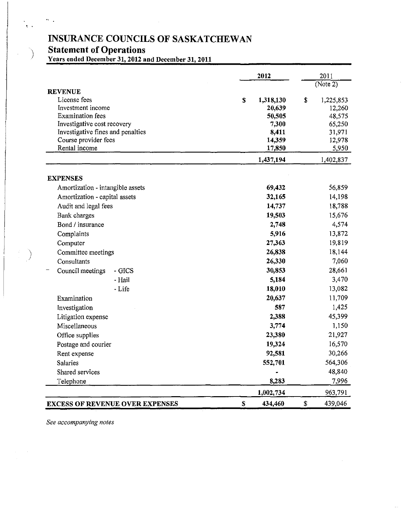, .

 $\mathbf{W}^{(n)}$  .

) **Statement of Operations Years ended December 31, 2012 and December 31,2011** 

|                                                                  |              | 2012           | 2011             |
|------------------------------------------------------------------|--------------|----------------|------------------|
|                                                                  |              |                | (Note 2)         |
| <b>REVENUE</b>                                                   |              |                |                  |
| License fees                                                     | $\mathbf S$  | 1,318,130      | \$<br>1,225,853  |
| Investment income                                                |              | 20,639         | 12,260           |
| <b>Examination</b> fees                                          |              | 50,505         | 48,575           |
| Investigative cost recovery<br>Investigative fines and penalties |              | 7,300<br>8,411 | 65,250<br>31,971 |
| Course provider fees                                             |              | 14,359         | 12,978           |
| Rental income                                                    |              | 17,850         | 5,950            |
|                                                                  |              | 1,437,194      | 1,402,837        |
|                                                                  |              |                |                  |
| <b>EXPENSES</b><br>Amortization - intangible assets              |              | 69,432         | 56,859           |
| Amortization - capital assets                                    |              | 32,165         | 14,198           |
| Audit and legal fees                                             |              | 14,737         | 18,788           |
| Bank charges                                                     |              | 19,503         | 15,676           |
| Bond / insurance                                                 |              | 2,748          | 4,574            |
| Complaints                                                       |              | 5,916          | 13,872           |
| Computer                                                         |              | 27,363         | 19,819           |
| Committee meetings                                               |              | 26,838         | 18,144           |
| Consultants                                                      |              | 26,330         | 7,060            |
| Council meetings<br>- GICS                                       |              | 30,853         | 28,661           |
| - Hail                                                           |              | 5,184          | 3,470            |
| - Life                                                           |              | 18,010         | 13,082           |
| Examination                                                      |              | 20,637         | 11,709           |
| Investigation                                                    |              | 587            | 1,425            |
| Litigation expense                                               |              | 2,388          | 45,399           |
| Miscellaneous                                                    |              | 3,774          | 1,150            |
| Office supplies                                                  |              | 23,380         | 21,927           |
| Postage and courier                                              |              | 19,324         | 16,570           |
| Rent expense                                                     |              | 92,581         | 30,266           |
| Salaries                                                         |              | 552,701        | 564,306          |
| Shared services                                                  |              |                | 48,840           |
| Telephone                                                        |              | 8,283          | 7,996            |
|                                                                  |              | 1,002,734      | 963,791          |
| <b>EXCESS OF REVENUE OVER EXPENSES</b>                           | $\mathbf{s}$ | 434,460        | \$<br>439,046    |

*See accompanying notes*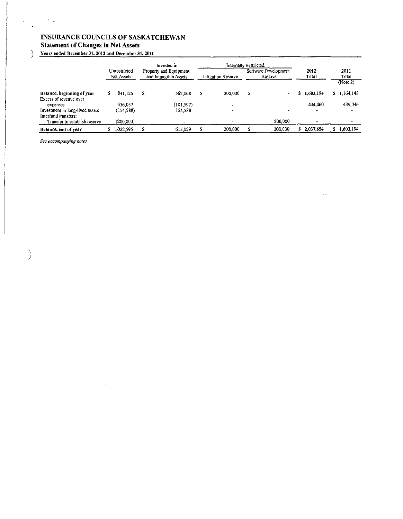## INSURANCE COUNCILS OF SASKATCHEWAN Statement of Changes in Net Assets

) Years ended December 31, 2012 and December 31, 2011

 $\sim$ 

 $\hat{\boldsymbol{\beta}}$ 

 $\mathcal{A}$ 

|                                 |    |            |                       | Internally Restricted<br>Invested in<br>Property and Equipment<br>Unrestricted |                    |         |         | Software Development | 2012         |             |  | 2011        |
|---------------------------------|----|------------|-----------------------|--------------------------------------------------------------------------------|--------------------|---------|---------|----------------------|--------------|-------------|--|-------------|
|                                 |    | Net Assets | and Intangible Assets |                                                                                | Litigation Reserve |         | Reserve |                      | <b>Total</b> |             |  | Total       |
|                                 |    |            |                       |                                                                                |                    |         |         |                      |              |             |  | (Note 2)    |
| Balance, beginning of year      | s  | 841.126    | \$                    | 562,068                                                                        | S                  | 200.000 | Ŝ       |                      | a.           | 1.603.194   |  | \$1,164,148 |
| Excess of revenue over          |    |            |                       |                                                                                |                    |         |         |                      |              |             |  |             |
| expenses                        |    | 536.057    |                       | (101,597)                                                                      |                    |         |         |                      |              | 434.460     |  | 439,046     |
| Investment in long-lived assets |    | (154, 588) |                       | 154.588                                                                        |                    |         |         |                      |              |             |  |             |
| Interfund transfers:            |    |            |                       |                                                                                |                    |         |         |                      |              |             |  |             |
| Transfer to establish reserve   |    | (200, 000) |                       |                                                                                |                    |         |         | 200.000              |              |             |  |             |
| Balance, end of year            | s. | 1,022,595  |                       | 615,059                                                                        |                    | 200,000 |         | 200,000              |              | \$2,037,654 |  | 1,603,194   |

See *accompanying notes* 

 $\sim 10^{11}$   $\mu$ 

 $\epsilon \rightarrow$ 

)

 $\hat{\mathcal{L}}$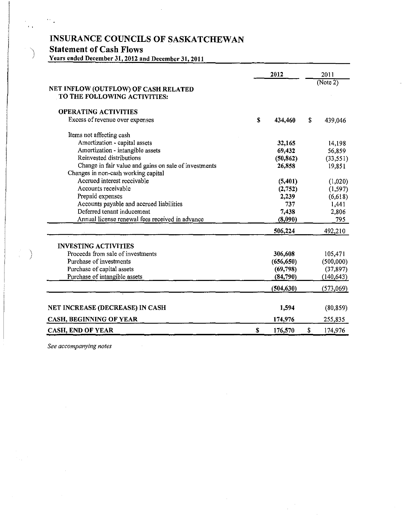## **Statement** of Cash Flows

 $\sim$  .

 $\epsilon$  .

Years ended December 31, 2012 and December 31, 20ll

|                                                                      | 2012 |            |    | 2011       |  |
|----------------------------------------------------------------------|------|------------|----|------------|--|
| NET INFLOW (OUTFLOW) OF CASH RELATED<br>TO THE FOLLOWING ACTIVITIES: |      |            |    | (Note 2)   |  |
| <b>OPERATING ACTIVITIES</b>                                          |      |            |    |            |  |
| Excess of revenue over expenses                                      | \$   | 434,460    | S  | 439,046    |  |
| Items not affecting cash                                             |      |            |    |            |  |
| Amortization - capital assets                                        |      | 32,165     |    | 14,198     |  |
| Amortization - intangible assets                                     |      | 69,432     |    | 56,859     |  |
| Reinvested distributions                                             |      | (50, 862)  |    | (33, 551)  |  |
| Change in fair value and gains on sale of investments                |      | 26,858     |    | 19,851     |  |
| Changes in non-cash working capital                                  |      |            |    |            |  |
| Accrued interest receivable                                          |      | (5,401)    |    | (1,020)    |  |
| Accounts receivable                                                  |      | (2,752)    |    | (1, 597)   |  |
| Prepaid expenses                                                     |      | 2,239      |    | (6,618)    |  |
| Accounts payable and accrued liabilities                             |      | 737        |    | 1,441      |  |
| Deferred tenant inducement                                           |      | 7,438      |    | 2,806      |  |
| Annual license renewal fees received in advance                      |      | (8,090)    |    | 795        |  |
|                                                                      |      | 506,224    | S. | 492,210    |  |
| <b>INVESTING ACTIVITIES</b>                                          |      |            |    |            |  |
| Proceeds from sale of investments                                    |      | 306,608    |    | 105,471    |  |
| Purchase of investments                                              |      | (656, 650) |    | (500,000)  |  |
| Purchase of capital assets                                           |      | (69, 798)  |    | (37, 897)  |  |
| Purchase of intangible assets                                        |      | (84,790)   |    | (140, 643) |  |
|                                                                      |      | (504, 630) |    | (573,069)  |  |
| NET INCREASE (DECREASE) IN CASH                                      |      | 1,594      |    | (80, 859)  |  |
| CASH, BEGINNING OF YEAR                                              |      | 174,976    |    | 255,835    |  |
| <b>CASH, END OF YEAR</b>                                             | S    | 176,570    |    | 174,976    |  |

*See accompanying notes* 

 $\hat{\mathcal{A}}$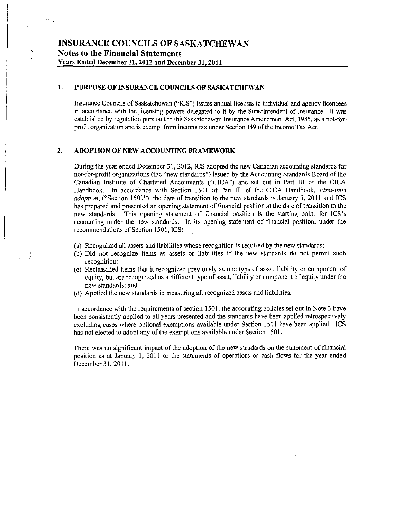## **1. PURPOSE OF INSURANCE COUNCILS OF SASKATCHEWAN**

Insurance Councils of Saskatchewan ("ICS") issues annual licenses to individual and agency licencees in accordance with the licensing powers delegated to it by the Superintendent of Insurance. It was established by regulation pursuant to the Saskatchewan Insurance Amendment Act, 1985, as a not-forprofit organization and is exempt from income tax under Section 149 of the Income Tax Act.

## **2. ADOPTION OF NEW ACCOUNTING FRAMEWORK**

J

During the year ended December 31, 2012, ICS adopted the new Canadian accounting standards for not-for-profit organizations (the "new standards") issued by the Accounting Standards Board of the Canadian Institute of Chartered Accountants ("CICA") and set out in Part III of the CICA Handbook. In accordance with Section 1501 of Part III of the CICA Handbook, *First-time adoption,* ("Section 1501"), the date of transition to the new standards is January 1, 2011 and ICS has prepared and presented an opening statement of financial position at the date of transition to the new standards. This opening statement of financial position is the starting point for ICS's accounting under the new standards. In its opening statement of financial position, under the recommendations of Section 1501, ICS:

- (a) Recognized all assets and liabilities whose recognition is required by the new standards;
- (b) Did not recognize items as assets or liabilities if the new standards do not permit such **recognition;**
- (c) Reclassified items that it recognized previously as one type of asset, liability or component of equity, but are recognized as a different type of asset, liability or component of equity under the new standards; and
- (d) Applied the new standards in measuring all recognized assets and liabilities.

In accordance with the requirements of section 1501, the accounting policies set out in Note 3 have been consistently applied to all years presented and the standards have been applied retrospectively excluding cases where optional exemptions available under Section 1501 have been applied. ICS has not elected to adopt any of the exemptions available under Section 1501.

There was no significant impact of the adoption of the new standards on the statement of financial position as at January 1, 2011 or the statements of operations or cash flows for the year ended December 31, 2011.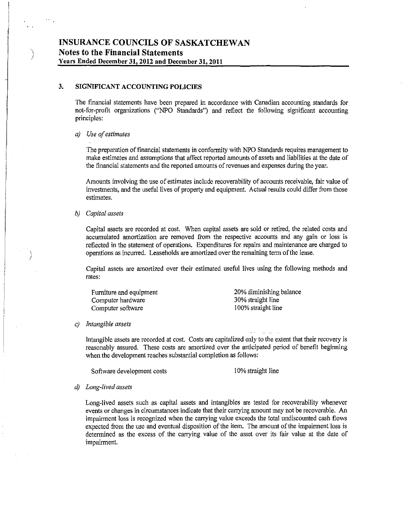## **3. SIGNIFICANT ACCOUNTING POLICIES**

**The** financial statements have been prepared in accordance with Canadian accounting standards for not-for-profit organizations ("NPO Standards") and reflect the following significant accounting principles:

### *a) Use of estimates*

)

 $\big)$ 

The preparation of financial statements in conformity with NPO Standards requires management to make estimates and assumptions that affect reported amounts of assets and liabilities at the date of the financial statements and the reported amounts of revenues and expenses during the year.

Amounts involving the use of estimates include recoverability of accounts receivable, fair value of investments, and the useful lives of property and equipment. Actual results could differ from those estimates.

#### *b) Capital assets*

Capital assets are recorded at cost. When capital assets are sold or retired, the related costs and accumulated amortization are removed from the respective accounts and any gain or loss is reflected in the statement of operations. Expenditures for repairs and maintenance are charged to operations as incurred. Leaseholds are amortized over the remaining term of the lease.

Capital assets are amortized over their estimated useful lives using the following methods and rates:

Furniture and equipment Computer hardware Computer software

20% diminishing balance 30% straight line 100% straight line

#### c) *Intangible assets*

Intangible assets are recorded at cost. Costs are capitalized only to the extent that their recovery is reasonably assured. These costs are amortized over the anticipated period of benefit beginning when the development reaches substantial completion as follows:

Software development costs 10% straight line

#### *d) Long-lived assets*

Long-lived assets such as capital assets and intangibles are tested for recoverability whenever events or changes in circumstances indicate that their carrying amount may not be recoverable. An impairment loss is recognized when the carrying value exceeds the total undiscounted cash flows expected from the use and eventual disposition of the item. The amount of the impairment loss is determined as the excess of the carrying value of the asset over its fair value at the date of impairment.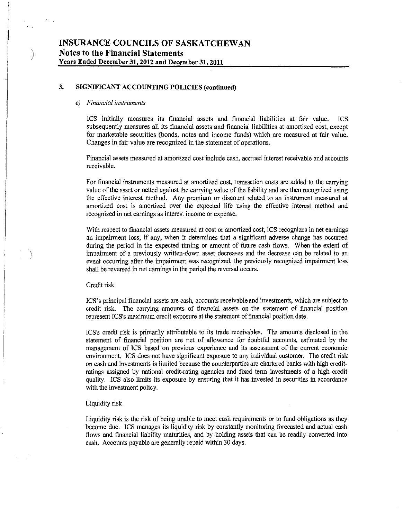## 3. SIGNIFICANT ACCOUNTING POLICIES (continued)

#### *e) Financial instruments*

)

 $\epsilon$ J ICS initially measures its financial assets and financial liabilities at fair value. ICS subsequently measures all its financial assets and financial liabilities at amortized cost, except for marketable securities (bonds, notes and income funds) which are measured at fair value. Changes in fair value are recognized in the statement of operations.

Financial assets measured at amortized cost include cash, accrued interest receivable and accounts receivable.

For financial instruments measured at amortized cost, transaction costs are added to the carrying value of the asset or netted against the carrying value of the liability and are then recognized using the effective interest method. Any premium or discount related to an instrument measured at amortized cost is amortized over the expected life using the effective interest method and recognized in net earnings as interest income or expense.

With respect to financial assets measured at cost or amortized cost, ICS recognizes in net earnings an impairment loss, if any, when it determines that a Significant adverse change has occurred during the period in the expected timing or amount of future cash flows. When the extent of impairment of a previously written-down asset decreases and the decrease can be related to an event occurring after the impairment was recognized, the previously recognized impairment loss shall be reversed in net earnings in the period the reversal occurs.

#### Credit risk

ICS's principal financial assets are cash, accounts receivable and investments, which are subject to credit risk. The carrying amounts of financial assets on the statement of financial position represent ICS's maximum credit exposure at the statement of financial position date.

ICS's credit risk is primarily attributable to its trade receivables. The amounts disclosed in the statement of financial position are net of allowance for doubtful accounts, estimated by the management of ICS based on previous experience and its assessment of the current economic enviromnent. ICS does not have significant exposure to any individual customer. The credit risk on cash and investments is limited because the counterparties are chartered banks with high creditratings assigned by national credit-rating agencies and fixed tenn investments of a high credit quality. ICS also limits its exposure by ensuring that it has invested in securities in accordance with the investment policy.

#### Liquidity risk

Liquidity risk is the risk of being unable to meet cash requirements or to fund obligations as they become due. ICS manages its liquidity risk by constantly monitoring forecasted and actual cash flows and financial liability maturities, and by holding assets that can be readily converted into cash. Accounts payable are generally repaid within 30 days.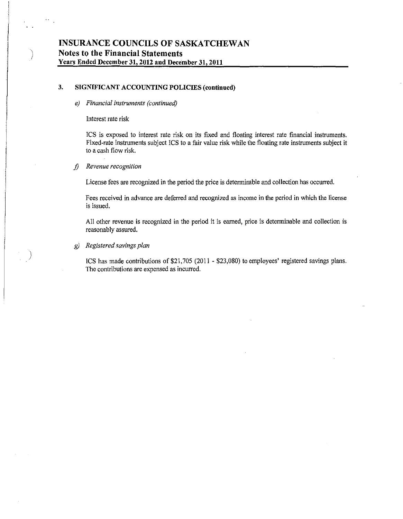## 3. SIGNIFICANT ACCOUNTING POLICIES (continued)

*e) Financial instruments (continued)* 

#### Interest rate risk

)

)

ICS is exposed to interest rate risk on its fixed and floating interest rate financial instruments. Fixed-rate instruments subject ICS to a fair value risk while the floating rate instruments subject it to a cash flow risk.

### *1) Revenue recognition*

License fees are recognized in the period the price is determinable and collection has occurred.

Fees received in advance are deferred and recognized as income in the period in which the license is issued.

All other revenue is recognized in the period it is earned, price is determinable and collection is reasonably assured.

### g) *Registered savings plan*

ICS has made contributions of \$21,705 (2011 - \$23,080) to employees' registered savings plans. The contributions are expensed as incurred.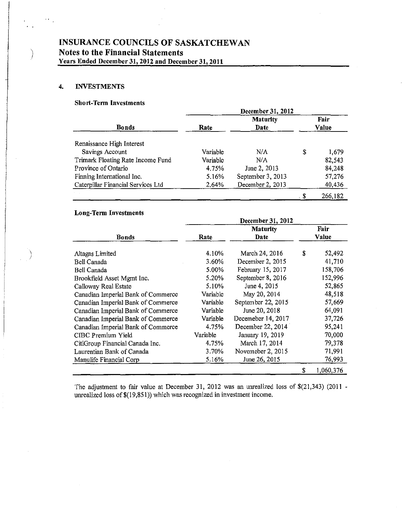## 4. INVESTMENTS

 $\epsilon$  .  $\ddot{\phantom{1}}$ 

## Sho rt-Term Investments

|                                    | December 31, 2012 |                   |       |         |  |  |  |  |
|------------------------------------|-------------------|-------------------|-------|---------|--|--|--|--|
|                                    |                   | <b>Maturity</b>   |       | Fair    |  |  |  |  |
| Bonds                              | Rate              | <b>Date</b>       | Value |         |  |  |  |  |
| Renaissance High Interest          |                   |                   |       |         |  |  |  |  |
| Savings Account                    | Variable          | N/A               | \$    | 1,679   |  |  |  |  |
| Trimark Floating Rate Income Fund  | Variable          | N/A               |       | 82,543  |  |  |  |  |
| Province of Ontario                | 4.75%             | June 2, 2013      |       | 84,248  |  |  |  |  |
| Finning International Inc.         | 5.16%             | September 3, 2013 |       | 57,276  |  |  |  |  |
| Caterpillar Financial Services Ltd | 2.64%             | December 2, 2013  |       | 40,436  |  |  |  |  |
|                                    |                   |                   |       | 266,182 |  |  |  |  |

## Long-Term Investments

|                                    | December 31, 2012 |                    |    |           |  |  |  |  |
|------------------------------------|-------------------|--------------------|----|-----------|--|--|--|--|
|                                    |                   | <b>Maturity</b>    |    | Fair      |  |  |  |  |
| <b>Bonds</b>                       | Rate              | Date               |    | Value     |  |  |  |  |
| Altagas Limited                    | 4.10%             | March 24, 2016     | \$ | 52,492    |  |  |  |  |
| Bell Canada                        | 3.60%             | December 2, 2015   |    | 41,710    |  |  |  |  |
| Bell Canada                        | 5.00%             | February 15, 2017  |    | 158,706   |  |  |  |  |
| Brookfield Asset Mgmt Inc.         | 5.20%             | September 8, 2016  |    | 152,996   |  |  |  |  |
| Calloway Real Estate               | 5.10%             | June 4, 2015       |    | 52,865    |  |  |  |  |
| Canadian Imperial Bank of Commerce | Variable          | May 20, 2014       |    | 48,518    |  |  |  |  |
| Canadian Imperial Bank of Commerce | Variable          | September 22, 2015 |    | 57,669    |  |  |  |  |
| Canadian Imperial Bank of Commerce | Variable          | June 20, 2018      |    | 64,091    |  |  |  |  |
| Canadian Imperial Bank of Commerce | Variable          | Decemeber 14, 2017 |    | 37,726    |  |  |  |  |
| Canadian Imperial Bank of Commerce | 4.75%             | December 22, 2014  |    | 95,241    |  |  |  |  |
| CIBC Premium Yield                 | Variable          | January 19, 2019   |    | 70,000    |  |  |  |  |
| CitiGroup Financial Canada Inc.    | 4.75%             | March 17, 2014     |    | 79,378    |  |  |  |  |
| Laurentian Bank of Canada          | 3.70%             | Novemeber 2, 2015  |    | 71,991    |  |  |  |  |
| Manulife Financial Corp            | 5.16%             | June 26, 2015      |    | 76,993    |  |  |  |  |
|                                    |                   |                    | \$ | 1,060,376 |  |  |  |  |

The adjustment to fair value at December 31, 2012 was an unrealized loss of \$(21,343) (2011 unrealized loss of\$(19,851)) which was recognized in investment income.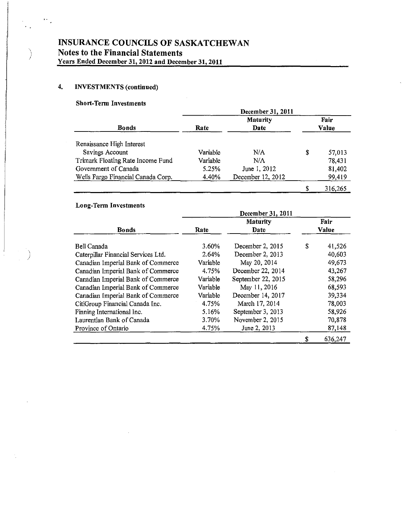## 4. INVESTMENTS (continued)

 $\big)$ 

 $\psi_{\alpha}$ 

## Short-Term Investments

|                                    | December 31, 2011 |                   |       |         |  |  |  |
|------------------------------------|-------------------|-------------------|-------|---------|--|--|--|
|                                    |                   | <b>Maturity</b>   |       | Fair    |  |  |  |
| Bonds                              | Rate              | Date              | Value |         |  |  |  |
| Renaissance High Interest          |                   |                   |       |         |  |  |  |
| Savings Account                    | Variable          | N/A               | S     | 57,013  |  |  |  |
| Trimark Floating Rate Income Fund  | Variable          | N/A               |       | 78,431  |  |  |  |
| Government of Canada               | 5.25%             | June 1, 2012      |       | 81,402  |  |  |  |
| Wells Fargo Financial Canada Corp. | 4.40%             | December 12, 2012 |       | 99,419  |  |  |  |
|                                    |                   |                   |       | 316,265 |  |  |  |

## Long-Term Investments

|                                     | December 31, 2011 |                    |       |         |  |  |  |  |
|-------------------------------------|-------------------|--------------------|-------|---------|--|--|--|--|
|                                     |                   | Maturity           |       | Fair    |  |  |  |  |
| <b>Bonds</b>                        | Rate              | Date               | Value |         |  |  |  |  |
| Bell Canada                         | 3.60%             | December 2, 2015   | S     | 41,526  |  |  |  |  |
| Caterpillar Financial Services Ltd. | 2.64%             | December 2, 2013   |       | 40,603  |  |  |  |  |
| Canadian Imperial Bank of Commerce  | Variable          | May 20, 2014       |       | 49,673  |  |  |  |  |
| Canadian Imperial Bank of Commerce  | 4.75%             | December 22, 2014  |       | 43,267  |  |  |  |  |
| Canadian Imperial Bank of Commerce  | Variable          | September 22, 2015 |       | 58,296  |  |  |  |  |
| Canadian Imperial Bank of Commerce  | Variable          | May 11, 2016       |       | 68,593  |  |  |  |  |
| Canadian Imperial Bank of Commerce  | Variable          | December 14, 2017  |       | 39,334  |  |  |  |  |
| CitiGroup Financial Canada Inc.     | 4.75%             | March 17, 2014     |       | 78,003  |  |  |  |  |
| Finning International Inc.          | 5.16%             | September 3, 2013  |       | 58,926  |  |  |  |  |
| Laurentian Bank of Canada           | 3.70%             | November 2, 2015   |       | 70,878  |  |  |  |  |
| Province of Ontario                 | 4.75%             | June 2, 2013       |       | 87,148  |  |  |  |  |
|                                     |                   |                    | \$    | 636,247 |  |  |  |  |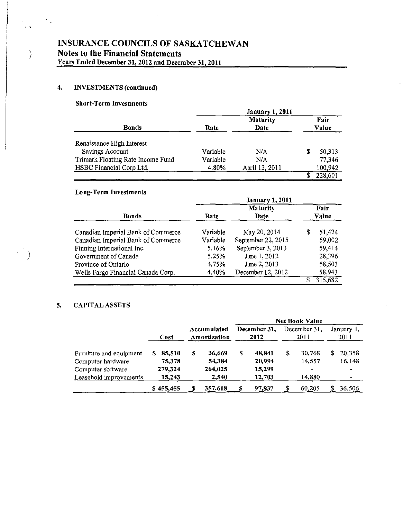## 4. **INVESTMENTS** (continued)

 $\phi_{\rm{eff}}$ 

## Short-Term Investments

| <b>Bonds</b>                                                  | Rate              | <b>Maturity</b><br>Date |   | Fair<br>Value     |  |
|---------------------------------------------------------------|-------------------|-------------------------|---|-------------------|--|
| Renaissance High Interest<br>Savings Account                  | Variable          | N/A                     | S | 50,313            |  |
| Trimark Floating Rate Income Fund<br>HSBC Financial Corp Ltd. | Variable<br>4.80% | N/A<br>April 13, 2011   |   | 77,346<br>100,942 |  |
|                                                               |                   |                         |   | 228,601           |  |

## Long-Term Investments

|                                                                                                                                                                                             | <b>January 1, 2011</b>                                   |                                                                                                              |                                                               |  |  |  |  |  |
|---------------------------------------------------------------------------------------------------------------------------------------------------------------------------------------------|----------------------------------------------------------|--------------------------------------------------------------------------------------------------------------|---------------------------------------------------------------|--|--|--|--|--|
| <b>Bonds</b>                                                                                                                                                                                | <b>Maturity</b><br>Date<br>Rate                          |                                                                                                              | Fair<br>Value                                                 |  |  |  |  |  |
| Canadian Imperial Bank of Commerce<br>Canadian Imperial Bank of Commerce<br>Finning International Inc.<br>Government of Canada<br>Province of Ontario<br>Wells Fargo Financial Canada Corp. | Variable<br>Variable<br>5.16%<br>5.25%<br>4.75%<br>4.40% | May 20, 2014<br>September 22, 2015<br>September 3, 2013<br>June 1, 2012<br>June 2, 2013<br>December 12, 2012 | 51,424<br>S<br>59,002<br>59,414<br>28,396<br>58,503<br>58,943 |  |  |  |  |  |
|                                                                                                                                                                                             |                                                          |                                                                                                              | 315,682                                                       |  |  |  |  |  |

### 5. CAPITAL ASSETS

|                                              |      |                   |   |                             |   |                      | <b>Net Book Value</b> |                          |                    |                  |  |
|----------------------------------------------|------|-------------------|---|-----------------------------|---|----------------------|-----------------------|--------------------------|--------------------|------------------|--|
|                                              | Cost |                   |   | Accumulated<br>Amortization |   | December 31.<br>2012 | December 31.<br>2011  |                          | January 1,<br>2011 |                  |  |
| Furniture and equipment<br>Computer hardware |      | 85,510<br>75,378  | S | 36,669<br>54,384            | S | 48,841<br>20,994     | S                     | 30.768<br>14.557         | S                  | 20,358<br>16,148 |  |
| Computer software<br>Leasehold improvements  |      | 279,324<br>15,243 |   | 264,025<br>2,540            |   | 15,299<br>12,703     |                       | $\blacksquare$<br>14,880 |                    |                  |  |
|                                              |      | \$455,455         |   | 357,618                     |   | 97,837               |                       | 60,205                   |                    | 36,506           |  |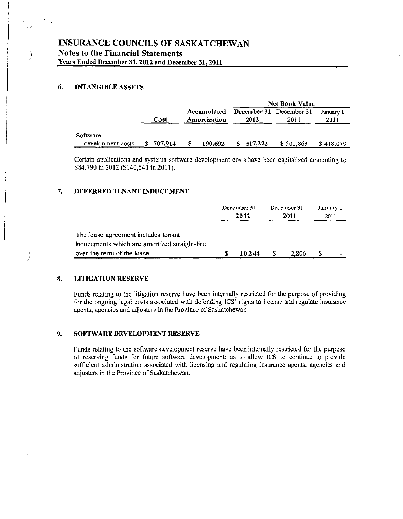## 6. INTANGIBLE ASSETS

)

s is

 $\epsilon_{\rm{eff}}$ 

)

|                               |           |                             | <b>Net Book Value</b>           |           |                   |  |  |
|-------------------------------|-----------|-----------------------------|---------------------------------|-----------|-------------------|--|--|
|                               | Cost      | Accumulated<br>Amortization | December 31 December 31<br>2012 | 2011      | January 1<br>2011 |  |  |
| Software<br>development costs | \$707,914 | 190,692<br>S                | 517,222<br>S                    | \$501,863 | \$418,079         |  |  |

Certain applications and systems software development costs have been capitalized amounting to \$84,790 in 2012 (\$140,643 in 2011).

#### 7. DEFERRED TENANT INDUCEMENT

|                                                                                      | December 31<br>2012 |  | December 31<br>2011 |  | January 1<br>2011 |  |
|--------------------------------------------------------------------------------------|---------------------|--|---------------------|--|-------------------|--|
| The lease agreement includes tenant<br>inducements which are amortized straight-line |                     |  |                     |  |                   |  |
| over the term of the lease.                                                          | 10.244              |  | 2,806               |  | -                 |  |

#### 8. LITIGATION RESERVE

Funds relating to the litigation reserve have been internally restricted for the purpose of providing for the ongoing legal costs associated with defending ICS' rights to license and regulate insurance agents, agencies and adjusters in the Province of Saskatchewan.

#### 9. SOFTWARE DEVELOPMENT RESERVE

Funds relating to the software development reserve have been internally restricted for the purpose of reserving funds for future software development; as to allow ICS to continue to provide sufficient administration associated with licensing and regulating insurance agents, agencies and adjusters in the Province of Saskatchewan.